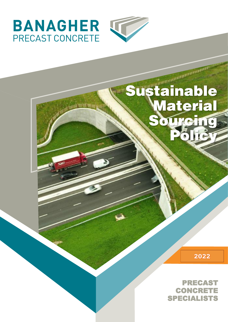

## Sustainable **Material** Sourcing

2022

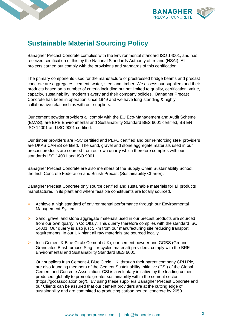



## **Sustainable Material Sourcing Policy**

Banagher Precast Concrete complies with the Environmental standard ISO 14001, and has received certification of this by the National Standards Authority of Ireland (NSAI). All projects carried out comply with the provisions and standards of this certification.

The primary components used for the manufacture of prestressed bridge beams and precast concrete are aggregates, cement, water, steel and timber. We assess our suppliers and their products based on a number of criteria including but not limited to quality, certification, value, capacity, sustainability, modern slavery and their company policies. Banagher Precast Concrete has been in operation since 1949 and we have long-standing & highly collaborative relationships with our suppliers.

Our cement powder providers all comply with the EU Eco-Management and Audit Scheme (EMAS), are BRE Environmental and Sustainability Standard BES 6001 certified, BS EN ISO 14001 and ISO 9001 certified.

Our timber providers are FSC certified and PEFC certified and our reinforcing steel providers are UKAS CARES certified. The sand, gravel and stone aggregate materials used in our precast products are sourced from our own quarry which therefore complies with our standards ISO 14001 and ISO 9001.

Banagher Precast Concrete are also members of the Supply Chain Sustainability School, the Irish Concrete Federation and British Precast (Sustainability Charter).

Banagher Precast Concrete only source certified and sustainable materials for all products manufactured in its plant and where feasible constituents are locally sourced.

- $\triangleright$  Achieve a high standard of environmental performance through our Environmental Management System.
- ➢ Sand, gravel and stone aggregate materials used in our precast products are sourced from our own quarry in Co Offaly. This quarry therefore complies with the standard ISO 14001. Our quarry is also just 5 km from our manufacturing site reducing transport requirements. In our UK plant all raw materials are sourced locally.
- ➢ Irish Cement & Blue Circle Cement (UK), our cement powder and GGBS (Ground Granulated Blast-furnace Slag – recycled material) providers, comply with the BRE Environmental and Sustainability Standard BES 6001.

Our suppliers Irish Cement & Blue Circle UK, through their parent company CRH Plc, are also founding members of the Cement Sustainability Initiative (CSI) of the Global Cement and Concrete Association. CSI is a voluntary initiative by the leading cement producers globally to promote greater sustainability within the cement sector (https://gccassociation.org/). By using these suppliers Banagher Precast Concrete and our Clients can be assured that our cement providers are at the cutting edge of sustainability and are committed to producing carbon neutral concrete by 2050.